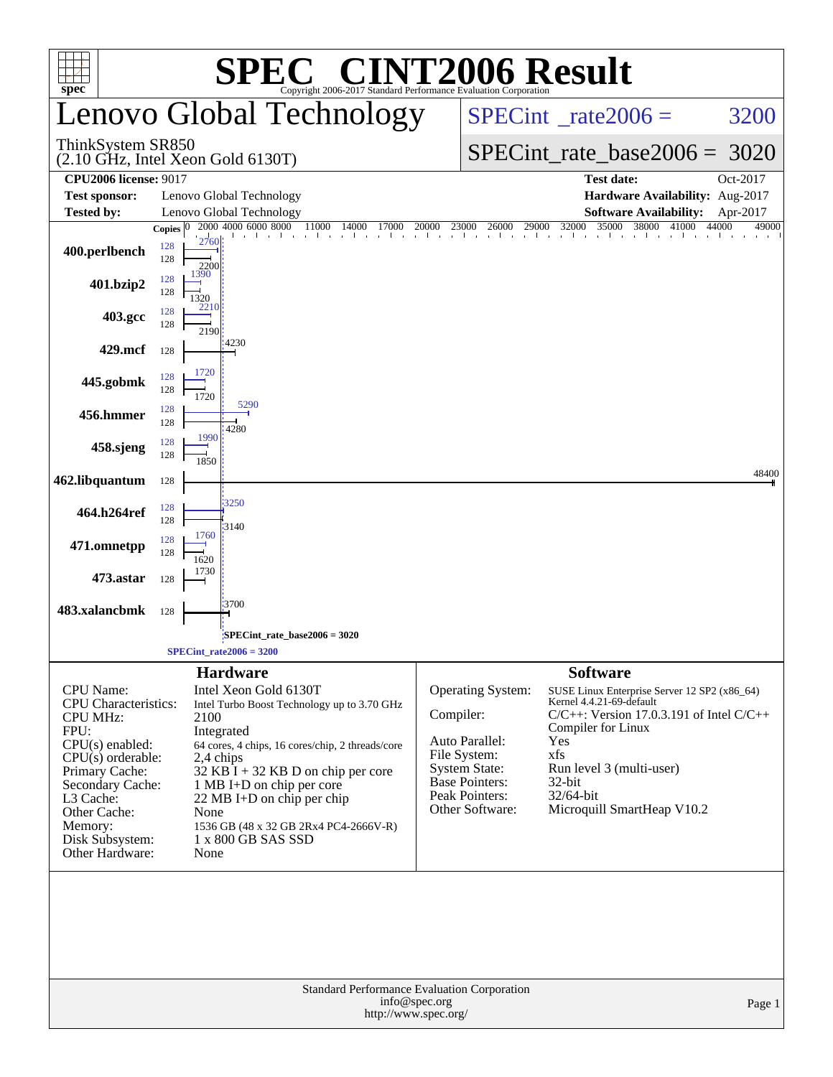|                                                                                                                                                                                                                                            |                                    | <b>C® CINT2006 Result</b><br>SPE                                                                                                                                                                                                                                                                                                                           |           |                                                                                                                                           |                                                                                                                                                                                                                                                                   |                            |  |
|--------------------------------------------------------------------------------------------------------------------------------------------------------------------------------------------------------------------------------------------|------------------------------------|------------------------------------------------------------------------------------------------------------------------------------------------------------------------------------------------------------------------------------------------------------------------------------------------------------------------------------------------------------|-----------|-------------------------------------------------------------------------------------------------------------------------------------------|-------------------------------------------------------------------------------------------------------------------------------------------------------------------------------------------------------------------------------------------------------------------|----------------------------|--|
| $spec^*$                                                                                                                                                                                                                                   |                                    | Convright 2006-2017 Standard Performance Evaluation Corporation<br>Lenovo Global Technology                                                                                                                                                                                                                                                                |           |                                                                                                                                           | $SPECint^{\circ}$ rate 2006 =                                                                                                                                                                                                                                     | 3200                       |  |
| ThinkSystem SR850<br>$(2.10 \text{ GHz}, \text{Intel Xeon Gold } 6130 \text{T})$                                                                                                                                                           |                                    |                                                                                                                                                                                                                                                                                                                                                            |           |                                                                                                                                           | $SPECint_rate\_base2006 =$                                                                                                                                                                                                                                        | 3020                       |  |
| <b>CPU2006 license: 9017</b><br><b>Test date:</b><br>Oct-2017                                                                                                                                                                              |                                    |                                                                                                                                                                                                                                                                                                                                                            |           |                                                                                                                                           |                                                                                                                                                                                                                                                                   |                            |  |
| Lenovo Global Technology<br>Hardware Availability: Aug-2017<br><b>Test sponsor:</b>                                                                                                                                                        |                                    |                                                                                                                                                                                                                                                                                                                                                            |           |                                                                                                                                           |                                                                                                                                                                                                                                                                   |                            |  |
| <b>Tested by:</b>                                                                                                                                                                                                                          | Copies $ 0 $                       | Lenovo Global Technology<br>2000 4000 6000 8000<br>11000<br>14000<br>17000                                                                                                                                                                                                                                                                                 | 20000     | 23000                                                                                                                                     | <b>Software Availability:</b><br>35000<br>38000<br>41000                                                                                                                                                                                                          | Apr-2017<br>44000<br>49000 |  |
| 400.perlbench                                                                                                                                                                                                                              | 2760<br>128<br>128<br>2200<br>1390 |                                                                                                                                                                                                                                                                                                                                                            |           |                                                                                                                                           | 3000 26000 29000 32000 35000 31                                                                                                                                                                                                                                   |                            |  |
| 401.bzip2                                                                                                                                                                                                                                  | 128<br>128<br>1320<br>2210         |                                                                                                                                                                                                                                                                                                                                                            |           |                                                                                                                                           |                                                                                                                                                                                                                                                                   |                            |  |
| 403.gcc                                                                                                                                                                                                                                    | 128<br>128<br>2190                 |                                                                                                                                                                                                                                                                                                                                                            |           |                                                                                                                                           |                                                                                                                                                                                                                                                                   |                            |  |
| 429.mcf                                                                                                                                                                                                                                    | 128                                | 4230                                                                                                                                                                                                                                                                                                                                                       |           |                                                                                                                                           |                                                                                                                                                                                                                                                                   |                            |  |
| 445.gobmk                                                                                                                                                                                                                                  | 1720<br>128<br>128<br>1720         |                                                                                                                                                                                                                                                                                                                                                            |           |                                                                                                                                           |                                                                                                                                                                                                                                                                   |                            |  |
| 456.hmmer                                                                                                                                                                                                                                  | 128<br>128                         | 5290<br>4280                                                                                                                                                                                                                                                                                                                                               |           |                                                                                                                                           |                                                                                                                                                                                                                                                                   |                            |  |
| 458.sjeng                                                                                                                                                                                                                                  | 1990<br>128<br>128<br>1850         |                                                                                                                                                                                                                                                                                                                                                            |           |                                                                                                                                           |                                                                                                                                                                                                                                                                   |                            |  |
| 462.libquantum                                                                                                                                                                                                                             | 128                                |                                                                                                                                                                                                                                                                                                                                                            |           |                                                                                                                                           |                                                                                                                                                                                                                                                                   | 48400                      |  |
| 464.h264ref                                                                                                                                                                                                                                | 128<br>128                         | 3250<br>3140                                                                                                                                                                                                                                                                                                                                               |           |                                                                                                                                           |                                                                                                                                                                                                                                                                   |                            |  |
| 471.omnetpp                                                                                                                                                                                                                                | 1760<br>128<br>128<br>1620         |                                                                                                                                                                                                                                                                                                                                                            |           |                                                                                                                                           |                                                                                                                                                                                                                                                                   |                            |  |
| 473.astar                                                                                                                                                                                                                                  | 1730<br>128                        |                                                                                                                                                                                                                                                                                                                                                            |           |                                                                                                                                           |                                                                                                                                                                                                                                                                   |                            |  |
| 483.xalancbmk                                                                                                                                                                                                                              | 128                                | 3700                                                                                                                                                                                                                                                                                                                                                       |           |                                                                                                                                           |                                                                                                                                                                                                                                                                   |                            |  |
|                                                                                                                                                                                                                                            |                                    | SPECint_rate_base2006 = 3020;<br>$SPECint_rate2006 = 3200$                                                                                                                                                                                                                                                                                                 |           |                                                                                                                                           |                                                                                                                                                                                                                                                                   |                            |  |
|                                                                                                                                                                                                                                            |                                    |                                                                                                                                                                                                                                                                                                                                                            |           |                                                                                                                                           |                                                                                                                                                                                                                                                                   |                            |  |
| <b>CPU</b> Name:<br><b>CPU</b> Characteristics:<br><b>CPU MHz:</b><br>FPU:<br>$CPU(s)$ enabled:<br>$CPU(s)$ orderable:<br>Primary Cache:<br>Secondary Cache:<br>L3 Cache:<br>Other Cache:<br>Memory:<br>Disk Subsystem:<br>Other Hardware: | 2100<br>None<br>None               | <b>Hardware</b><br>Intel Xeon Gold 6130T<br>Intel Turbo Boost Technology up to 3.70 GHz<br>Integrated<br>64 cores, 4 chips, 16 cores/chip, 2 threads/core<br>2,4 chips<br>$32$ KB $\bar{I}$ + 32 KB D on chip per core<br>1 MB I+D on chip per core<br>$22 \text{ MB I+D}$ on chip per chip<br>1536 GB (48 x 32 GB 2Rx4 PC4-2666V-R)<br>1 x 800 GB SAS SSD | Compiler: | Operating System:<br>Auto Parallel:<br>File System:<br><b>System State:</b><br><b>Base Pointers:</b><br>Peak Pointers:<br>Other Software: | <b>Software</b><br>SUSE Linux Enterprise Server 12 SP2 (x86_64)<br>Kernel 4.4.21-69-default<br>$C/C++$ : Version 17.0.3.191 of Intel $C/C++$<br>Compiler for Linux<br>Yes<br>xfs<br>Run level 3 (multi-user)<br>32-bit<br>32/64-bit<br>Microquill SmartHeap V10.2 |                            |  |
| Standard Performance Evaluation Corporation<br>info@spec.org<br>Page 1<br>http://www.spec.org/                                                                                                                                             |                                    |                                                                                                                                                                                                                                                                                                                                                            |           |                                                                                                                                           |                                                                                                                                                                                                                                                                   |                            |  |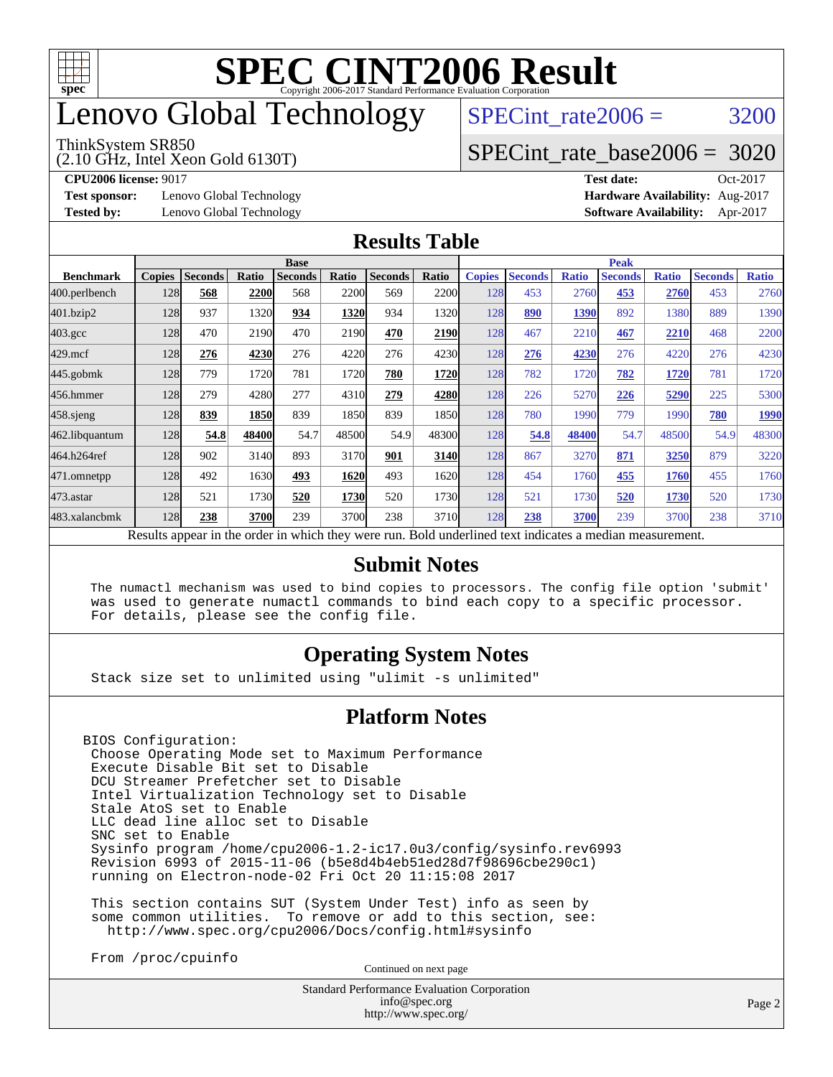

# enovo Global Technology

#### ThinkSystem SR850

(2.10 GHz, Intel Xeon Gold 6130T)

SPECint rate $2006 = 3200$ 

### [SPECint\\_rate\\_base2006 =](http://www.spec.org/auto/cpu2006/Docs/result-fields.html#SPECintratebase2006) 3020

**[Test sponsor:](http://www.spec.org/auto/cpu2006/Docs/result-fields.html#Testsponsor)** Lenovo Global Technology **[Hardware Availability:](http://www.spec.org/auto/cpu2006/Docs/result-fields.html#HardwareAvailability)** Aug-2017

**[CPU2006 license:](http://www.spec.org/auto/cpu2006/Docs/result-fields.html#CPU2006license)** 9017 **[Test date:](http://www.spec.org/auto/cpu2006/Docs/result-fields.html#Testdate)** Oct-2017 **[Tested by:](http://www.spec.org/auto/cpu2006/Docs/result-fields.html#Testedby)** Lenovo Global Technology **[Software Availability:](http://www.spec.org/auto/cpu2006/Docs/result-fields.html#SoftwareAvailability)** Apr-2017

### **[Results Table](http://www.spec.org/auto/cpu2006/Docs/result-fields.html#ResultsTable)**

|                                                                                                          | <b>Base</b>   |                |       |                |       |                | <b>Peak</b> |               |                |              |                |              |                |              |
|----------------------------------------------------------------------------------------------------------|---------------|----------------|-------|----------------|-------|----------------|-------------|---------------|----------------|--------------|----------------|--------------|----------------|--------------|
| <b>Benchmark</b>                                                                                         | <b>Copies</b> | <b>Seconds</b> | Ratio | <b>Seconds</b> | Ratio | <b>Seconds</b> | Ratio       | <b>Copies</b> | <b>Seconds</b> | <b>Ratio</b> | <b>Seconds</b> | <b>Ratio</b> | <b>Seconds</b> | <b>Ratio</b> |
| 400.perlbench                                                                                            | 128           | 568            | 2200  | 568            | 2200  | 569            | 2200l       | 128           | 453            | 2760         | 453            | 2760         | 453            | 2760         |
| 401.bzip2                                                                                                | 128           | 937            | 1320  | 934            | 1320  | 934            | 1320        | 128           | 890            | 1390         | 892            | 1380         | 889            | 1390         |
| $403.\text{gcc}$                                                                                         | 128           | 470            | 2190  | 470            | 2190  | 470            | 2190        | 128           | 467            | 2210         | 467            | 2210         | 468            | 2200         |
| $429$ .mcf                                                                                               | 128           | 276            | 4230  | 276            | 4220  | 276            | 4230        | 128           | 276            | 4230         | 276            | 4220         | 276            | 4230         |
| $445$ .gobmk                                                                                             | 128           | 779            | 1720  | 781            | 1720  | 780            | 1720        | 128           | 782            | 1720         | 782            | 1720         | 781            | 1720         |
| 456.hmmer                                                                                                | 128           | 279            | 4280  | 277            | 4310  | 279            | 4280        | 128           | 226            | 5270         | 226            | 5290         | 225            | 5300         |
| $458$ .sjeng                                                                                             | 128           | 839            | 1850  | 839            | 1850  | 839            | 1850l       | 128           | 780            | 1990         | 779            | 1990         | 780            | 1990         |
| 462.libquantum                                                                                           | 128           | 54.8           | 48400 | 54.7           | 48500 | 54.9           | 48300       | 128           | 54.8           | 48400        | 54.7           | 48500        | 54.9           | 48300        |
| 464.h264ref                                                                                              | 128           | 902            | 3140  | 893            | 3170  | 901            | 3140        | 128           | 867            | 3270         | 871            | 3250         | 879            | 3220         |
| 471.omnetpp                                                                                              | 128           | 492            | 1630  | 493            | 1620  | 493            | 1620        | 128           | 454            | 1760         | 455            | 1760         | 455            | 1760         |
| 473.astar                                                                                                | 128           | 521            | 1730  | 520            | 1730  | 520            | 1730        | 128           | 521            | 1730         | 520            | 1730         | 520            | 1730         |
| 483.xalancbmk                                                                                            | 128           | 238            | 3700  | 239            | 3700  | 238            | 3710        | 128           | 238            | 3700         | 239            | 3700         | 238            | 3710         |
| Results appear in the order in which they were run. Bold underlined text indicates a median measurement. |               |                |       |                |       |                |             |               |                |              |                |              |                |              |

### **[Submit Notes](http://www.spec.org/auto/cpu2006/Docs/result-fields.html#SubmitNotes)**

 The numactl mechanism was used to bind copies to processors. The config file option 'submit' was used to generate numactl commands to bind each copy to a specific processor. For details, please see the config file.

### **[Operating System Notes](http://www.spec.org/auto/cpu2006/Docs/result-fields.html#OperatingSystemNotes)**

Stack size set to unlimited using "ulimit -s unlimited"

### **[Platform Notes](http://www.spec.org/auto/cpu2006/Docs/result-fields.html#PlatformNotes)**

BIOS Configuration: Choose Operating Mode set to Maximum Performance Execute Disable Bit set to Disable DCU Streamer Prefetcher set to Disable Intel Virtualization Technology set to Disable Stale AtoS set to Enable LLC dead line alloc set to Disable SNC set to Enable Sysinfo program /home/cpu2006-1.2-ic17.0u3/config/sysinfo.rev6993 Revision 6993 of 2015-11-06 (b5e8d4b4eb51ed28d7f98696cbe290c1) running on Electron-node-02 Fri Oct 20 11:15:08 2017

 This section contains SUT (System Under Test) info as seen by some common utilities. To remove or add to this section, see: <http://www.spec.org/cpu2006/Docs/config.html#sysinfo>

From /proc/cpuinfo

Continued on next page

Standard Performance Evaluation Corporation [info@spec.org](mailto:info@spec.org) <http://www.spec.org/>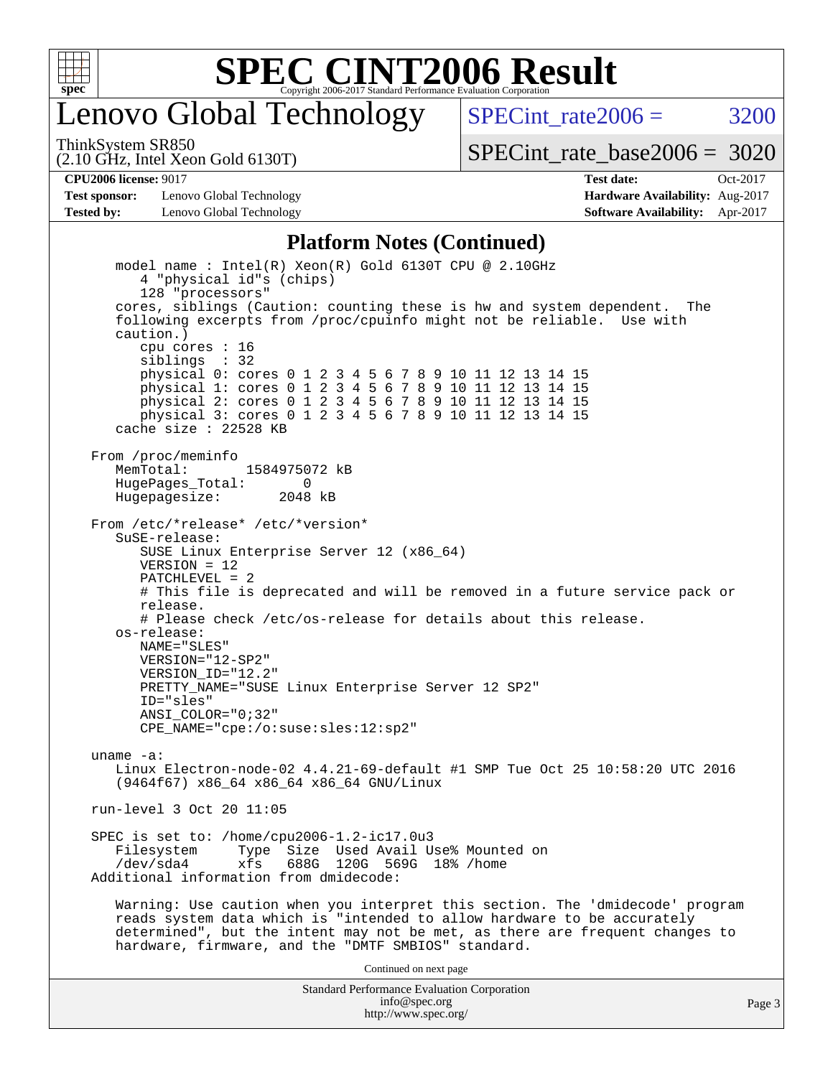

# enovo Global Technology

SPECint rate $2006 = 3200$ 

ThinkSystem SR850

(2.10 GHz, Intel Xeon Gold 6130T)

[SPECint\\_rate\\_base2006 =](http://www.spec.org/auto/cpu2006/Docs/result-fields.html#SPECintratebase2006) 3020

**[Test sponsor:](http://www.spec.org/auto/cpu2006/Docs/result-fields.html#Testsponsor)** Lenovo Global Technology **[Hardware Availability:](http://www.spec.org/auto/cpu2006/Docs/result-fields.html#HardwareAvailability)** Aug-2017 **[Tested by:](http://www.spec.org/auto/cpu2006/Docs/result-fields.html#Testedby)** Lenovo Global Technology **[Software Availability:](http://www.spec.org/auto/cpu2006/Docs/result-fields.html#SoftwareAvailability)** Apr-2017

**[CPU2006 license:](http://www.spec.org/auto/cpu2006/Docs/result-fields.html#CPU2006license)** 9017 **[Test date:](http://www.spec.org/auto/cpu2006/Docs/result-fields.html#Testdate)** Oct-2017

#### **[Platform Notes \(Continued\)](http://www.spec.org/auto/cpu2006/Docs/result-fields.html#PlatformNotes)**

Standard Performance Evaluation Corporation model name : Intel(R) Xeon(R) Gold 6130T CPU @ 2.10GHz 4 "physical id"s (chips) 128 "processors" cores, siblings (Caution: counting these is hw and system dependent. The following excerpts from /proc/cpuinfo might not be reliable. Use with caution.) cpu cores : 16 siblings : 32 physical 0: cores 0 1 2 3 4 5 6 7 8 9 10 11 12 13 14 15 physical 1: cores 0 1 2 3 4 5 6 7 8 9 10 11 12 13 14 15 physical 2: cores 0 1 2 3 4 5 6 7 8 9 10 11 12 13 14 15 physical 3: cores 0 1 2 3 4 5 6 7 8 9 10 11 12 13 14 15 cache size : 22528 KB From /proc/meminfo MemTotal: 1584975072 kB<br>HugeBages Total: 0 HugePages\_Total: 0 Hugepagesize: 2048 kB From /etc/\*release\* /etc/\*version\* SuSE-release: SUSE Linux Enterprise Server 12 (x86\_64)  $VFRSTON = 12$  PATCHLEVEL = 2 # This file is deprecated and will be removed in a future service pack or release. # Please check /etc/os-release for details about this release. os-release: NAME="SLES" VERSION="12-SP2" VERSION\_ID="12.2" PRETTY\_NAME="SUSE Linux Enterprise Server 12 SP2" ID="sles" ANSI\_COLOR="0;32" CPE\_NAME="cpe:/o:suse:sles:12:sp2" uname -a: Linux Electron-node-02 4.4.21-69-default #1 SMP Tue Oct 25 10:58:20 UTC 2016 (9464f67) x86\_64 x86\_64 x86\_64 GNU/Linux run-level 3 Oct 20 11:05 SPEC is set to: /home/cpu2006-1.2-ic17.0u3 Type Size Used Avail Use% Mounted on /dev/sda4 xfs 688G 120G 569G 18% /home Additional information from dmidecode: Warning: Use caution when you interpret this section. The 'dmidecode' program reads system data which is "intended to allow hardware to be accurately determined", but the intent may not be met, as there are frequent changes to hardware, firmware, and the "DMTF SMBIOS" standard. Continued on next page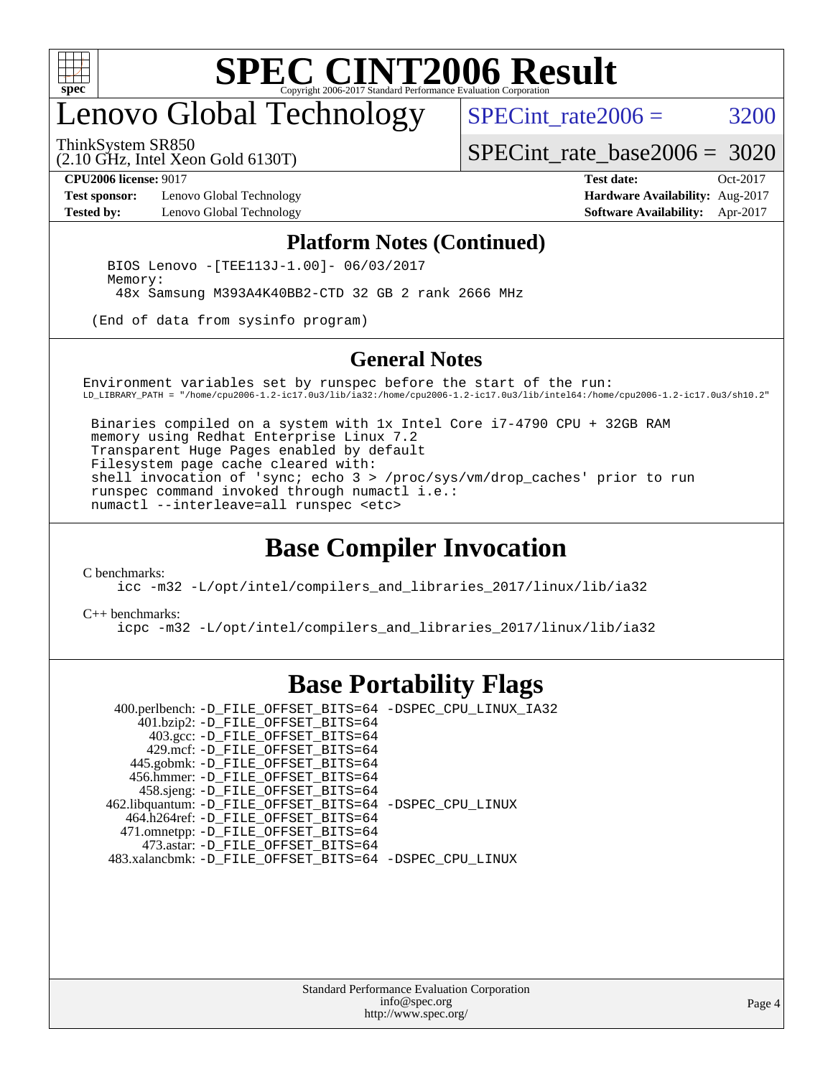

# enovo Global Technology

ThinkSystem SR850

SPECint rate $2006 = 3200$ 

(2.10 GHz, Intel Xeon Gold 6130T)

[SPECint\\_rate\\_base2006 =](http://www.spec.org/auto/cpu2006/Docs/result-fields.html#SPECintratebase2006) 3020

**[Test sponsor:](http://www.spec.org/auto/cpu2006/Docs/result-fields.html#Testsponsor)** Lenovo Global Technology **[Hardware Availability:](http://www.spec.org/auto/cpu2006/Docs/result-fields.html#HardwareAvailability)** Aug-2017 **[Tested by:](http://www.spec.org/auto/cpu2006/Docs/result-fields.html#Testedby)** Lenovo Global Technology **[Software Availability:](http://www.spec.org/auto/cpu2006/Docs/result-fields.html#SoftwareAvailability)** Apr-2017

**[CPU2006 license:](http://www.spec.org/auto/cpu2006/Docs/result-fields.html#CPU2006license)** 9017 **[Test date:](http://www.spec.org/auto/cpu2006/Docs/result-fields.html#Testdate)** Oct-2017

#### **[Platform Notes \(Continued\)](http://www.spec.org/auto/cpu2006/Docs/result-fields.html#PlatformNotes)**

 BIOS Lenovo -[TEE113J-1.00]- 06/03/2017 Memory: 48x Samsung M393A4K40BB2-CTD 32 GB 2 rank 2666 MHz

(End of data from sysinfo program)

#### **[General Notes](http://www.spec.org/auto/cpu2006/Docs/result-fields.html#GeneralNotes)**

Environment variables set by runspec before the start of the run: LD\_LIBRARY\_PATH = "/home/cpu2006-1.2-ic17.0u3/lib/ia32:/home/cpu2006-1.2-ic17.0u3/lib/intel64:/home/cpu2006-1.2-ic17.0u3/sh10.2"

 Binaries compiled on a system with 1x Intel Core i7-4790 CPU + 32GB RAM memory using Redhat Enterprise Linux 7.2 Transparent Huge Pages enabled by default Filesystem page cache cleared with: shell invocation of 'sync; echo 3 > /proc/sys/vm/drop\_caches' prior to run runspec command invoked through numactl i.e.: numactl --interleave=all runspec <etc>

### **[Base Compiler Invocation](http://www.spec.org/auto/cpu2006/Docs/result-fields.html#BaseCompilerInvocation)**

[C benchmarks](http://www.spec.org/auto/cpu2006/Docs/result-fields.html#Cbenchmarks):

[icc -m32 -L/opt/intel/compilers\\_and\\_libraries\\_2017/linux/lib/ia32](http://www.spec.org/cpu2006/results/res2017q4/cpu2006-20171211-51109.flags.html#user_CCbase_intel_icc_c29f3ff5a7ed067b11e4ec10a03f03ae)

[C++ benchmarks:](http://www.spec.org/auto/cpu2006/Docs/result-fields.html#CXXbenchmarks)

[icpc -m32 -L/opt/intel/compilers\\_and\\_libraries\\_2017/linux/lib/ia32](http://www.spec.org/cpu2006/results/res2017q4/cpu2006-20171211-51109.flags.html#user_CXXbase_intel_icpc_8c35c7808b62dab9ae41a1aa06361b6b)

### **[Base Portability Flags](http://www.spec.org/auto/cpu2006/Docs/result-fields.html#BasePortabilityFlags)**

 400.perlbench: [-D\\_FILE\\_OFFSET\\_BITS=64](http://www.spec.org/cpu2006/results/res2017q4/cpu2006-20171211-51109.flags.html#user_basePORTABILITY400_perlbench_file_offset_bits_64_438cf9856305ebd76870a2c6dc2689ab) [-DSPEC\\_CPU\\_LINUX\\_IA32](http://www.spec.org/cpu2006/results/res2017q4/cpu2006-20171211-51109.flags.html#b400.perlbench_baseCPORTABILITY_DSPEC_CPU_LINUX_IA32) 401.bzip2: [-D\\_FILE\\_OFFSET\\_BITS=64](http://www.spec.org/cpu2006/results/res2017q4/cpu2006-20171211-51109.flags.html#user_basePORTABILITY401_bzip2_file_offset_bits_64_438cf9856305ebd76870a2c6dc2689ab) 403.gcc: [-D\\_FILE\\_OFFSET\\_BITS=64](http://www.spec.org/cpu2006/results/res2017q4/cpu2006-20171211-51109.flags.html#user_basePORTABILITY403_gcc_file_offset_bits_64_438cf9856305ebd76870a2c6dc2689ab) 429.mcf: [-D\\_FILE\\_OFFSET\\_BITS=64](http://www.spec.org/cpu2006/results/res2017q4/cpu2006-20171211-51109.flags.html#user_basePORTABILITY429_mcf_file_offset_bits_64_438cf9856305ebd76870a2c6dc2689ab) 445.gobmk: [-D\\_FILE\\_OFFSET\\_BITS=64](http://www.spec.org/cpu2006/results/res2017q4/cpu2006-20171211-51109.flags.html#user_basePORTABILITY445_gobmk_file_offset_bits_64_438cf9856305ebd76870a2c6dc2689ab) 456.hmmer: [-D\\_FILE\\_OFFSET\\_BITS=64](http://www.spec.org/cpu2006/results/res2017q4/cpu2006-20171211-51109.flags.html#user_basePORTABILITY456_hmmer_file_offset_bits_64_438cf9856305ebd76870a2c6dc2689ab) 458.sjeng: [-D\\_FILE\\_OFFSET\\_BITS=64](http://www.spec.org/cpu2006/results/res2017q4/cpu2006-20171211-51109.flags.html#user_basePORTABILITY458_sjeng_file_offset_bits_64_438cf9856305ebd76870a2c6dc2689ab) 462.libquantum: [-D\\_FILE\\_OFFSET\\_BITS=64](http://www.spec.org/cpu2006/results/res2017q4/cpu2006-20171211-51109.flags.html#user_basePORTABILITY462_libquantum_file_offset_bits_64_438cf9856305ebd76870a2c6dc2689ab) [-DSPEC\\_CPU\\_LINUX](http://www.spec.org/cpu2006/results/res2017q4/cpu2006-20171211-51109.flags.html#b462.libquantum_baseCPORTABILITY_DSPEC_CPU_LINUX) 464.h264ref: [-D\\_FILE\\_OFFSET\\_BITS=64](http://www.spec.org/cpu2006/results/res2017q4/cpu2006-20171211-51109.flags.html#user_basePORTABILITY464_h264ref_file_offset_bits_64_438cf9856305ebd76870a2c6dc2689ab) 471.omnetpp: [-D\\_FILE\\_OFFSET\\_BITS=64](http://www.spec.org/cpu2006/results/res2017q4/cpu2006-20171211-51109.flags.html#user_basePORTABILITY471_omnetpp_file_offset_bits_64_438cf9856305ebd76870a2c6dc2689ab) 473.astar: [-D\\_FILE\\_OFFSET\\_BITS=64](http://www.spec.org/cpu2006/results/res2017q4/cpu2006-20171211-51109.flags.html#user_basePORTABILITY473_astar_file_offset_bits_64_438cf9856305ebd76870a2c6dc2689ab) 483.xalancbmk: [-D\\_FILE\\_OFFSET\\_BITS=64](http://www.spec.org/cpu2006/results/res2017q4/cpu2006-20171211-51109.flags.html#user_basePORTABILITY483_xalancbmk_file_offset_bits_64_438cf9856305ebd76870a2c6dc2689ab) [-DSPEC\\_CPU\\_LINUX](http://www.spec.org/cpu2006/results/res2017q4/cpu2006-20171211-51109.flags.html#b483.xalancbmk_baseCXXPORTABILITY_DSPEC_CPU_LINUX)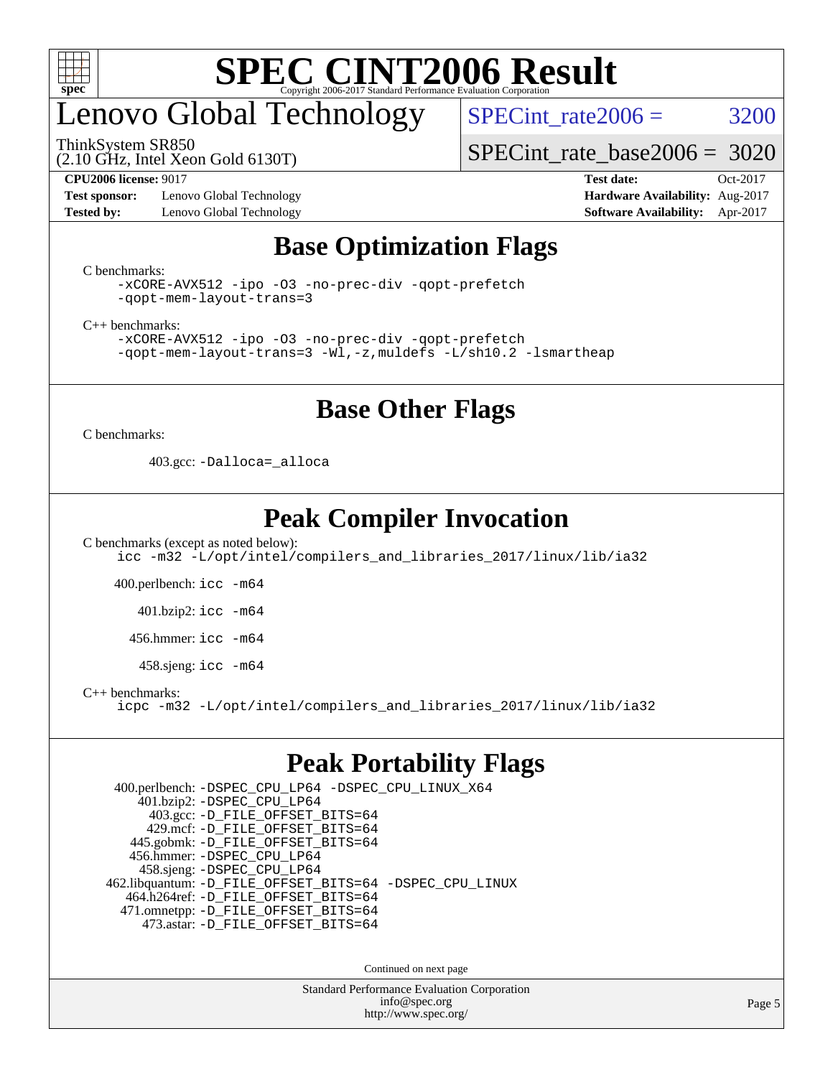

# enovo Global Technology

SPECint rate $2006 = 3200$ 

ThinkSystem SR850

(2.10 GHz, Intel Xeon Gold 6130T)

[SPECint\\_rate\\_base2006 =](http://www.spec.org/auto/cpu2006/Docs/result-fields.html#SPECintratebase2006) 3020

**[Test sponsor:](http://www.spec.org/auto/cpu2006/Docs/result-fields.html#Testsponsor)** Lenovo Global Technology **[Hardware Availability:](http://www.spec.org/auto/cpu2006/Docs/result-fields.html#HardwareAvailability)** Aug-2017 **[Tested by:](http://www.spec.org/auto/cpu2006/Docs/result-fields.html#Testedby)** Lenovo Global Technology **[Software Availability:](http://www.spec.org/auto/cpu2006/Docs/result-fields.html#SoftwareAvailability)** Apr-2017

**[CPU2006 license:](http://www.spec.org/auto/cpu2006/Docs/result-fields.html#CPU2006license)** 9017 **[Test date:](http://www.spec.org/auto/cpu2006/Docs/result-fields.html#Testdate)** Oct-2017

### **[Base Optimization Flags](http://www.spec.org/auto/cpu2006/Docs/result-fields.html#BaseOptimizationFlags)**

[C benchmarks](http://www.spec.org/auto/cpu2006/Docs/result-fields.html#Cbenchmarks):

```
-xCORE-AVX512 -ipo -O3 -no-prec-div -qopt-prefetch
-qopt-mem-layout-trans=3
```
[C++ benchmarks:](http://www.spec.org/auto/cpu2006/Docs/result-fields.html#CXXbenchmarks)

```
-xCORE-AVX512 -ipo -O3 -no-prec-div -qopt-prefetch
-qopt-mem-layout-trans=3 -Wl,-z,muldefs -L/sh10.2 -lsmartheap
```
### **[Base Other Flags](http://www.spec.org/auto/cpu2006/Docs/result-fields.html#BaseOtherFlags)**

[C benchmarks](http://www.spec.org/auto/cpu2006/Docs/result-fields.html#Cbenchmarks):

403.gcc: [-Dalloca=\\_alloca](http://www.spec.org/cpu2006/results/res2017q4/cpu2006-20171211-51109.flags.html#b403.gcc_baseEXTRA_CFLAGS_Dalloca_be3056838c12de2578596ca5467af7f3)

### **[Peak Compiler Invocation](http://www.spec.org/auto/cpu2006/Docs/result-fields.html#PeakCompilerInvocation)**

[C benchmarks \(except as noted below\)](http://www.spec.org/auto/cpu2006/Docs/result-fields.html#Cbenchmarksexceptasnotedbelow): [icc -m32 -L/opt/intel/compilers\\_and\\_libraries\\_2017/linux/lib/ia32](http://www.spec.org/cpu2006/results/res2017q4/cpu2006-20171211-51109.flags.html#user_CCpeak_intel_icc_c29f3ff5a7ed067b11e4ec10a03f03ae)

400.perlbench: [icc -m64](http://www.spec.org/cpu2006/results/res2017q4/cpu2006-20171211-51109.flags.html#user_peakCCLD400_perlbench_intel_icc_64bit_bda6cc9af1fdbb0edc3795bac97ada53)

401.bzip2: [icc -m64](http://www.spec.org/cpu2006/results/res2017q4/cpu2006-20171211-51109.flags.html#user_peakCCLD401_bzip2_intel_icc_64bit_bda6cc9af1fdbb0edc3795bac97ada53)

456.hmmer: [icc -m64](http://www.spec.org/cpu2006/results/res2017q4/cpu2006-20171211-51109.flags.html#user_peakCCLD456_hmmer_intel_icc_64bit_bda6cc9af1fdbb0edc3795bac97ada53)

458.sjeng: [icc -m64](http://www.spec.org/cpu2006/results/res2017q4/cpu2006-20171211-51109.flags.html#user_peakCCLD458_sjeng_intel_icc_64bit_bda6cc9af1fdbb0edc3795bac97ada53)

[C++ benchmarks:](http://www.spec.org/auto/cpu2006/Docs/result-fields.html#CXXbenchmarks)

[icpc -m32 -L/opt/intel/compilers\\_and\\_libraries\\_2017/linux/lib/ia32](http://www.spec.org/cpu2006/results/res2017q4/cpu2006-20171211-51109.flags.html#user_CXXpeak_intel_icpc_8c35c7808b62dab9ae41a1aa06361b6b)

### **[Peak Portability Flags](http://www.spec.org/auto/cpu2006/Docs/result-fields.html#PeakPortabilityFlags)**

 400.perlbench: [-DSPEC\\_CPU\\_LP64](http://www.spec.org/cpu2006/results/res2017q4/cpu2006-20171211-51109.flags.html#b400.perlbench_peakCPORTABILITY_DSPEC_CPU_LP64) [-DSPEC\\_CPU\\_LINUX\\_X64](http://www.spec.org/cpu2006/results/res2017q4/cpu2006-20171211-51109.flags.html#b400.perlbench_peakCPORTABILITY_DSPEC_CPU_LINUX_X64) 401.bzip2: [-DSPEC\\_CPU\\_LP64](http://www.spec.org/cpu2006/results/res2017q4/cpu2006-20171211-51109.flags.html#suite_peakCPORTABILITY401_bzip2_DSPEC_CPU_LP64) 403.gcc: [-D\\_FILE\\_OFFSET\\_BITS=64](http://www.spec.org/cpu2006/results/res2017q4/cpu2006-20171211-51109.flags.html#user_peakPORTABILITY403_gcc_file_offset_bits_64_438cf9856305ebd76870a2c6dc2689ab) 429.mcf: [-D\\_FILE\\_OFFSET\\_BITS=64](http://www.spec.org/cpu2006/results/res2017q4/cpu2006-20171211-51109.flags.html#user_peakPORTABILITY429_mcf_file_offset_bits_64_438cf9856305ebd76870a2c6dc2689ab) 445.gobmk: [-D\\_FILE\\_OFFSET\\_BITS=64](http://www.spec.org/cpu2006/results/res2017q4/cpu2006-20171211-51109.flags.html#user_peakPORTABILITY445_gobmk_file_offset_bits_64_438cf9856305ebd76870a2c6dc2689ab) 456.hmmer: [-DSPEC\\_CPU\\_LP64](http://www.spec.org/cpu2006/results/res2017q4/cpu2006-20171211-51109.flags.html#suite_peakCPORTABILITY456_hmmer_DSPEC_CPU_LP64) 458.sjeng: [-DSPEC\\_CPU\\_LP64](http://www.spec.org/cpu2006/results/res2017q4/cpu2006-20171211-51109.flags.html#suite_peakCPORTABILITY458_sjeng_DSPEC_CPU_LP64) 462.libquantum: [-D\\_FILE\\_OFFSET\\_BITS=64](http://www.spec.org/cpu2006/results/res2017q4/cpu2006-20171211-51109.flags.html#user_peakPORTABILITY462_libquantum_file_offset_bits_64_438cf9856305ebd76870a2c6dc2689ab) [-DSPEC\\_CPU\\_LINUX](http://www.spec.org/cpu2006/results/res2017q4/cpu2006-20171211-51109.flags.html#b462.libquantum_peakCPORTABILITY_DSPEC_CPU_LINUX) 464.h264ref: [-D\\_FILE\\_OFFSET\\_BITS=64](http://www.spec.org/cpu2006/results/res2017q4/cpu2006-20171211-51109.flags.html#user_peakPORTABILITY464_h264ref_file_offset_bits_64_438cf9856305ebd76870a2c6dc2689ab) 471.omnetpp: [-D\\_FILE\\_OFFSET\\_BITS=64](http://www.spec.org/cpu2006/results/res2017q4/cpu2006-20171211-51109.flags.html#user_peakPORTABILITY471_omnetpp_file_offset_bits_64_438cf9856305ebd76870a2c6dc2689ab) 473.astar: [-D\\_FILE\\_OFFSET\\_BITS=64](http://www.spec.org/cpu2006/results/res2017q4/cpu2006-20171211-51109.flags.html#user_peakPORTABILITY473_astar_file_offset_bits_64_438cf9856305ebd76870a2c6dc2689ab)

Continued on next page

Standard Performance Evaluation Corporation [info@spec.org](mailto:info@spec.org) <http://www.spec.org/>

Page 5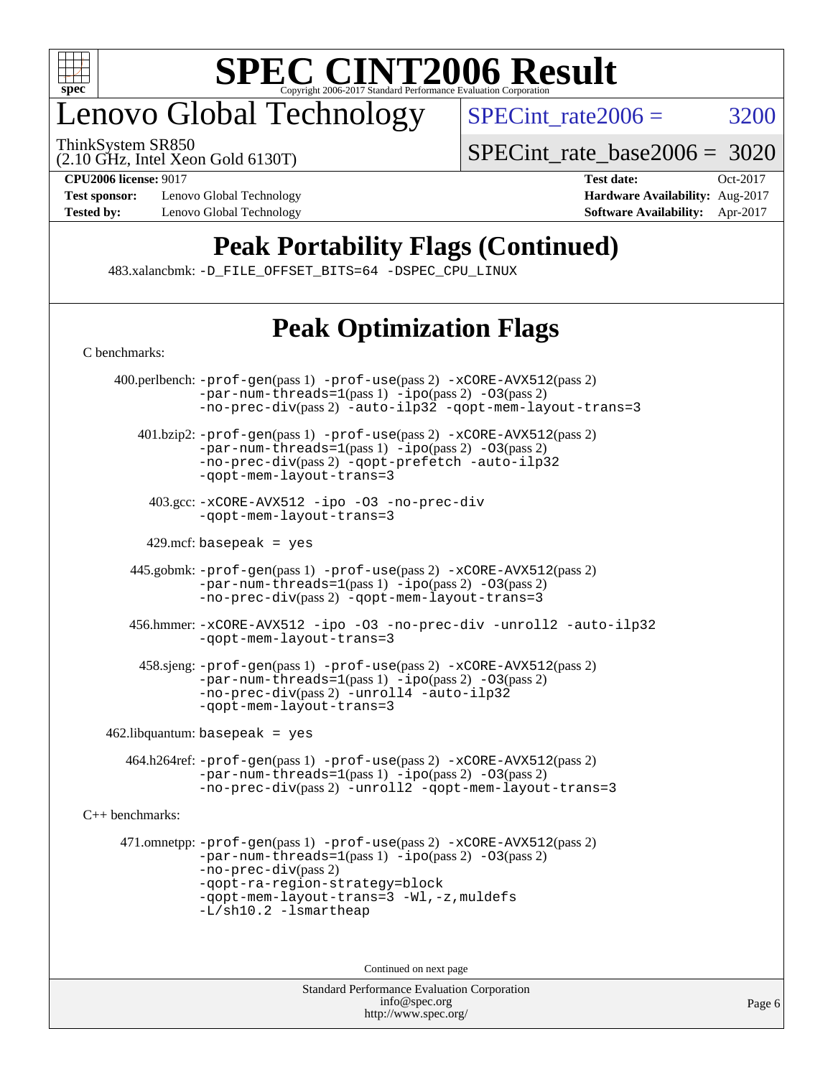

# enovo Global Technology

ThinkSystem SR850

 $SPECTnt_rate2006 = 3200$ 

(2.10 GHz, Intel Xeon Gold 6130T)

[SPECint\\_rate\\_base2006 =](http://www.spec.org/auto/cpu2006/Docs/result-fields.html#SPECintratebase2006) 3020

**[Test sponsor:](http://www.spec.org/auto/cpu2006/Docs/result-fields.html#Testsponsor)** Lenovo Global Technology **[Hardware Availability:](http://www.spec.org/auto/cpu2006/Docs/result-fields.html#HardwareAvailability)** Aug-2017 **[Tested by:](http://www.spec.org/auto/cpu2006/Docs/result-fields.html#Testedby)** Lenovo Global Technology **[Software Availability:](http://www.spec.org/auto/cpu2006/Docs/result-fields.html#SoftwareAvailability)** Apr-2017

**[CPU2006 license:](http://www.spec.org/auto/cpu2006/Docs/result-fields.html#CPU2006license)** 9017 **[Test date:](http://www.spec.org/auto/cpu2006/Docs/result-fields.html#Testdate)** Oct-2017

### **[Peak Portability Flags \(Continued\)](http://www.spec.org/auto/cpu2006/Docs/result-fields.html#PeakPortabilityFlags)**

483.xalancbmk: [-D\\_FILE\\_OFFSET\\_BITS=64](http://www.spec.org/cpu2006/results/res2017q4/cpu2006-20171211-51109.flags.html#user_peakPORTABILITY483_xalancbmk_file_offset_bits_64_438cf9856305ebd76870a2c6dc2689ab) [-DSPEC\\_CPU\\_LINUX](http://www.spec.org/cpu2006/results/res2017q4/cpu2006-20171211-51109.flags.html#b483.xalancbmk_peakCXXPORTABILITY_DSPEC_CPU_LINUX)

## **[Peak Optimization Flags](http://www.spec.org/auto/cpu2006/Docs/result-fields.html#PeakOptimizationFlags)**

| C benchmarks:   |                                                                                                                                                                                                                                                                       |
|-----------------|-----------------------------------------------------------------------------------------------------------------------------------------------------------------------------------------------------------------------------------------------------------------------|
|                 | 400.perlbench: -prof-gen(pass 1) -prof-use(pass 2) -xCORE-AVX512(pass 2)<br>$-par-num-threads=1(pass 1) -ipo(pass 2) -03(pass 2)$<br>-no-prec-div(pass 2) -auto-ilp32 -qopt-mem-layout-trans=3                                                                        |
|                 | $401 \text{.}$ bzip2: $-\text{prof-gen(pass 1)} - \text{prof-ges(pass 2)} - \text{xCORE-AVX512(pass 2)}$<br>-par-num-threads=1(pass 1) -ipo(pass 2) -03(pass 2)<br>-no-prec-div(pass 2) -qopt-prefetch -auto-ilp32<br>-gopt-mem-layout-trans=3                        |
|                 | 403.gcc: -xCORE-AVX512 -ipo -03 -no-prec-div<br>-gopt-mem-layout-trans=3                                                                                                                                                                                              |
|                 | $429$ .mcf: basepeak = yes                                                                                                                                                                                                                                            |
|                 | 445.gobmk: -prof-gen(pass 1) -prof-use(pass 2) -xCORE-AVX512(pass 2)<br>$-par-num-threads=1(pass 1) -ipo(pass 2) -03(pass 2)$<br>-no-prec-div(pass 2) -qopt-mem-layout-trans=3                                                                                        |
|                 | 456.hmmer: -xCORE-AVX512 -ipo -03 -no-prec-div -unroll2 -auto-ilp32<br>-gopt-mem-layout-trans=3                                                                                                                                                                       |
|                 | 458.sjeng: -prof-gen(pass 1) -prof-use(pass 2) -xCORE-AVX512(pass 2)<br>$-par-num-threads=1(pass 1) -ipo(pass 2) -03(pass 2)$<br>-no-prec-div(pass 2) -unroll4 -auto-ilp32<br>-gopt-mem-layout-trans=3                                                                |
|                 | $462$ .libquantum: basepeak = yes                                                                                                                                                                                                                                     |
|                 | 464.h264ref: -prof-gen(pass 1) -prof-use(pass 2) -xCORE-AVX512(pass 2)<br>$-par-num-threads=1(pass 1) -ipo(pass 2) -03(pass 2)$<br>-no-prec-div(pass 2) -unroll2 -qopt-mem-layout-trans=3                                                                             |
| C++ benchmarks: |                                                                                                                                                                                                                                                                       |
|                 | 471.omnetpp: -prof-gen(pass 1) -prof-use(pass 2) -xCORE-AVX512(pass 2)<br>$-par-num-threads=1(pass 1) -ipo(pass 2) -03(pass 2)$<br>$-no-prec-div(pass 2)$<br>-qopt-ra-region-strategy=block<br>-qopt-mem-layout-trans=3 -Wl,-z, muldefs<br>$-L/\nsh10.2 - lsmartheap$ |
|                 | Continued on next page                                                                                                                                                                                                                                                |
|                 |                                                                                                                                                                                                                                                                       |